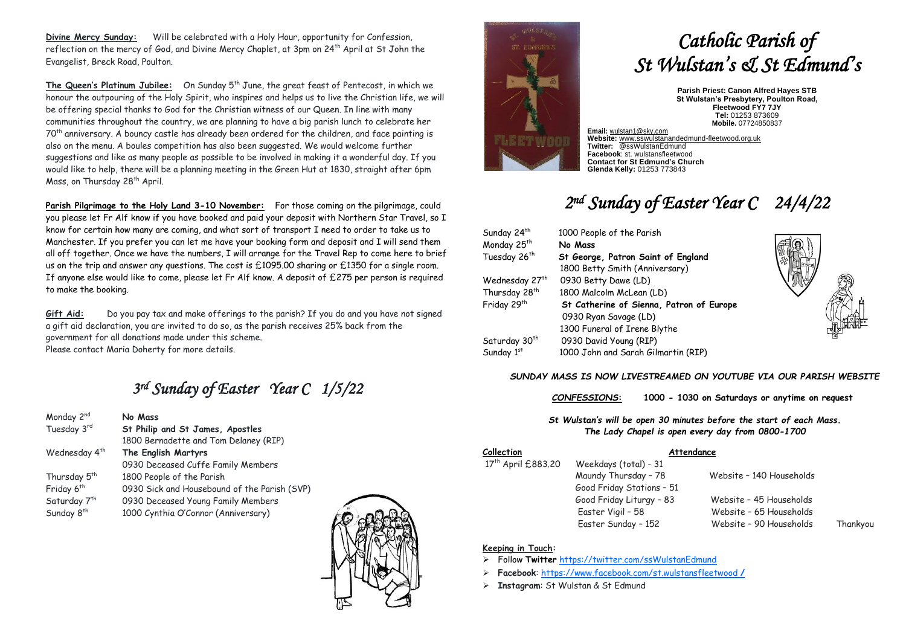**Divine Mercy Sunday:** Will be celebrated with a Holy Hour, opportunity for Confession, reflection on the mercy of God, and Divine Mercy Chaplet, at 3pm on 24<sup>th</sup> April at St John the Evangelist, Breck Road, Poulton.

The Queen's Platinum Jubilee: On Sunday 5<sup>th</sup> June, the great feast of Pentecost, in which we honour the outpouring of the Holy Spirit, who inspires and helps us to live the Christian life, we will be offering special thanks to God for the Christian witness of our Queen. In line with many communities throughout the country, we are planning to have a big parish lunch to celebrate her 70th anniversary. A bouncy castle has already been ordered for the children, and face painting is also on the menu. A boules competition has also been suggested. We would welcome further suggestions and like as many people as possible to be involved in making it a wonderful day. If you would like to help, there will be a planning meeting in the Green Hut at 1830, straight after 6pm Mass, on Thursday 28<sup>th</sup> April.

**Parish Pilgrimage to the Holy Land 3-10 November:** For those coming on the pilgrimage, could you please let Fr Alf know if you have booked and paid your deposit with Northern Star Travel, so I know for certain how many are coming, and what sort of transport I need to order to take us to Manchester. If you prefer you can let me have your booking form and deposit and I will send them all off together. Once we have the numbers, I will arrange for the Travel Rep to come here to brief us on the trip and answer any questions. The cost is £1095.00 sharing or £1350 for a single room. If anyone else would like to come, please let Fr Alf know. A deposit of £275 per person is required to make the booking.

**Gift Aid:** Do you pay tax and make offerings to the parish? If you do and you have not signed a gift aid declaration, you are invited to do so, as the parish receives 25% back from the government for all donations made under this scheme. Please contact Maria Doherty for more details.

# *3 rd Sunday of Easter Year C 1/5/22*

| Monday 2 <sup>nd</sup>    | No Mass                                      |  |
|---------------------------|----------------------------------------------|--|
| Tuesday 3rd               | St Philip and St James, Apostles             |  |
|                           | 1800 Bernadette and Tom Delaney (RIP)        |  |
| Wednesday 4 <sup>th</sup> | The English Martyrs                          |  |
|                           | 0930 Deceased Cuffe Family Members           |  |
| Thursday 5 <sup>th</sup>  | 1800 People of the Parish                    |  |
| Friday 6 <sup>th</sup>    | 0930 Sick and Housebound of the Parish (SVP) |  |
| Saturday 7 <sup>th</sup>  | 0930 Deceased Young Family Members           |  |
| Sunday 8 <sup>th</sup>    | 1000 Cynthia O'Connor (Anniversary)          |  |





# *Catholic Parish of St Wulstan's & St Edmund's*

**Parish Priest: Canon Alfred Hayes STB St Wulstan's Presbytery, Poulton Road, Fleetwood FY7 7JY Tel:** 01253 873609 **Mobile.** 07724850837

**Email:** [wulstan1@sky.com](mailto:wulstan1@sky.com) **Website:** [www.sswulstanandedmund-fleetwood.org.uk](http://www.sswulstanandedmund-fleetwood.org.uk/) **Twitter:** @ssWulstanEdmund **Facebook**: st. wulstansfleetwood **Contact for St Edmund's Church Glenda Kelly:** 01253 773843

# *2 nd Sunday of Easter Year C 24/4/22*

| Sunday 24 <sup>th</sup>   | 1000 People of the Parish                |
|---------------------------|------------------------------------------|
| Monday 25th               | No Mass                                  |
| Tuesday 26th              | St George, Patron Saint of England       |
|                           | 1800 Betty Smith (Anniversary)           |
| Wednesday 27th            | 0930 Betty Dawe (LD)                     |
| Thursday 28 <sup>th</sup> | 1800 Malcolm McLean (LD)                 |
| Friday 29th               | St Catherine of Sienna, Patron of Europe |
|                           | 0930 Ryan Savage (LD)                    |
|                           | 1300 Funeral of Irene Blythe             |
| Saturday 30 <sup>th</sup> | 0930 David Young (RIP)                   |
| Sunday 1st                | 1000 John and Sarah Gilmartin (RIP)      |



## *SUNDAY MASS IS NOW LIVESTREAMED ON YOUTUBE VIA OUR PARISH WEBSITE*

*CONFESSIONS***: 1000 - 1030 on Saturdays or anytime on request**

*St Wulstan's will be open 30 minutes before the start of each Mass. The Lady Chapel is open every day from 0800-1700*

# **Collection Attendance**

17<sup>th</sup> April £883.20

Weekdays (total) - 31 Good Friday Stations – 51

 Maundy Thursday – 78 Website – 140 Households Good Friday Liturgy – 83 Website – 45 Households

 Easter Vigil – 58 Website – 65 Households Easter Sunday – 152 Website – 90 Households Thankyou

## **Keeping in Touch:**

- ➢ Follow **Twitter** <https://twitter.com/ssWulstanEdmund>
- ➢ **Facebook**: https://www.facebook.com/st.wulstansfleetwood **/**
- ➢ **Instagram**: St Wulstan & St Edmund